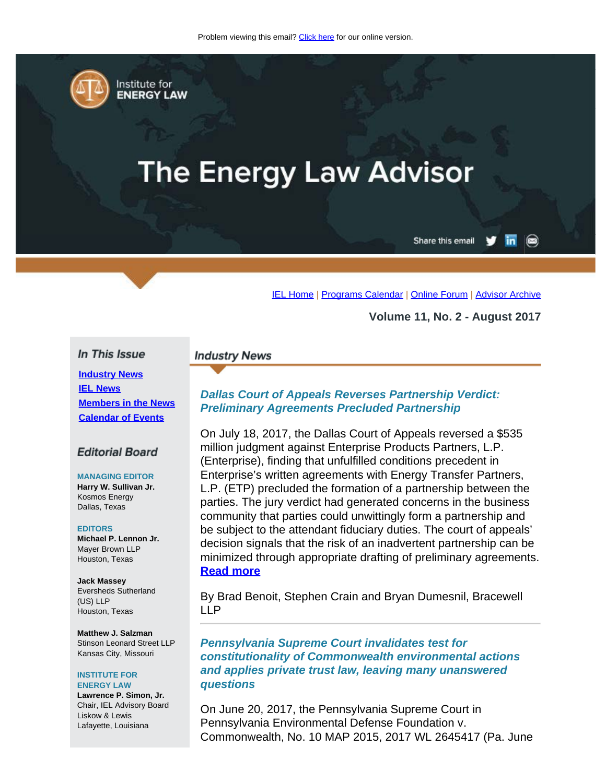<span id="page-0-0"></span>

Institute for **ENERGY LAW** 

# **The Energy Law Advisor**

Share this email in

[IEL Home](http://www.cailaw.org/institute-for-energy-law/index.html?utm_source=Informz&utm_medium=Email&utm_campaign=Event+Details) | [Programs Calendar](http://www.cailaw.org/institute-for-energy-law/programs-calendar.html?utm_source=Informz&utm_medium=Email&utm_campaign=Event+Details) | [Online Forum](https://www.linkedin.com/groups?gid=2330688&trk=myg_ugrp_ovr) | [Advisor Archive](http://www.cailaw.org/institute-for-energy-law/publications/energy-law-advisor.html?utm_source=Informz&utm_medium=Email&utm_campaign=Event+Details)

**Volume 11, No. 2 - August 2017**

#### In This Issue

**[Industry News](#page-0-0) [IEL News](#page-0-0) [Members in the News](#page-0-0) [Calendar of Events](#page-0-0)**

#### **Editorial Board**

**MANAGING EDITOR Harry W. Sullivan Jr.** Kosmos Energy Dallas, Texas

#### **EDITORS**

**Michael P. Lennon Jr.** Mayer Brown LLP Houston, Texas

**Jack Massey** Eversheds Sutherland (US) LLP Houston, Texas

**Matthew J. Salzman** Stinson Leonard Street LLP Kansas City, Missouri

#### **INSTITUTE FOR ENERGY LAW**

**Lawrence P. Simon, Jr.** Chair, IEL Advisory Board Liskow & Lewis Lafayette, Louisiana

# **Industry News**

# *Dallas Court of Appeals Reverses Partnership Verdict: Preliminary Agreements Precluded Partnership*

On July 18, 2017, the Dallas Court of Appeals reversed a \$535 million judgment against Enterprise Products Partners, L.P. (Enterprise), finding that unfulfilled conditions precedent in Enterprise's written agreements with Energy Transfer Partners, L.P. (ETP) precluded the formation of a partnership between the parties. The jury verdict had generated concerns in the business community that parties could unwittingly form a partnership and be subject to the attendant fiduciary duties. The court of appeals' decision signals that the risk of an inadvertent partnership can be minimized through appropriate drafting of preliminary agreements. **[Read more](http://www.cailaw.org/media/files/IEL/Publications/2017/enterprise-vol11no2.pdf)**

By Brad Benoit, Stephen Crain and Bryan Dumesnil, Bracewell LLP

*Pennsylvania Supreme Court invalidates test for constitutionality of Commonwealth environmental actions and applies private trust law, leaving many unanswered questions*

On June 20, 2017, the Pennsylvania Supreme Court in Pennsylvania Environmental Defense Foundation v. Commonwealth, No. 10 MAP 2015, 2017 WL 2645417 (Pa. June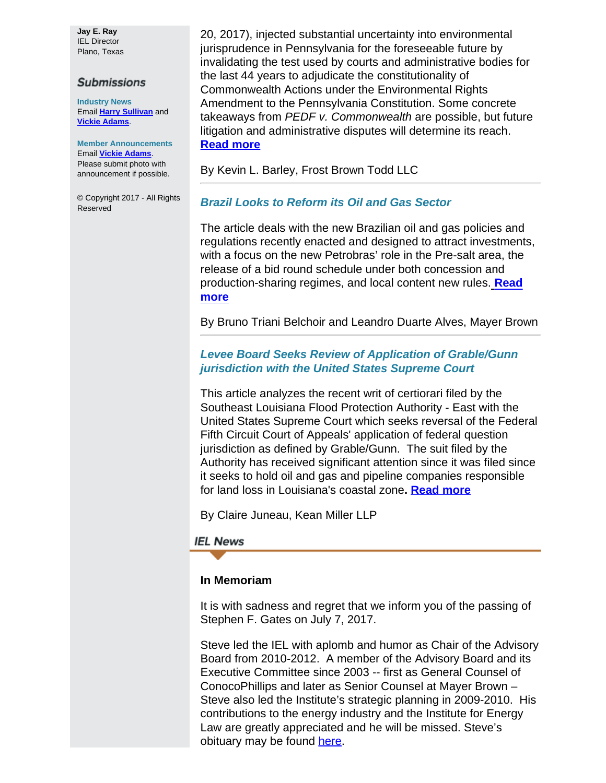**Jay E. Ray** IEL Director Plano, Texas

#### **Submissions**

**Industry News** Email **[Harry Sullivan](mailto:sullivanhw@aol.com)** and **[Vickie Adams](mailto:vadams@cailaw.org)**.

**Member Announcements** Email **[Vickie Adams](mailto:vadams@cailaw.org)**. Please submit photo with announcement if possible.

© Copyright 2017 - All Rights Reserved

20, 2017), injected substantial uncertainty into environmental jurisprudence in Pennsylvania for the foreseeable future by invalidating the test used by courts and administrative bodies for the last 44 years to adjudicate the constitutionality of Commonwealth Actions under the Environmental Rights Amendment to the Pennsylvania Constitution. Some concrete takeaways from *PEDF v. Commonwealth* are possible, but future litigation and administrative disputes will determine its reach. **[Read more](http://www.cailaw.org/media/files/IEL/Publications/2017/pennsylvania-sc-vol11no2.pdf)**

By Kevin L. Barley, Frost Brown Todd LLC

# *Brazil Looks to Reform its Oil and Gas Sector*

The article deals with the new Brazilian oil and gas policies and regulations recently enacted and designed to attract investments, with a focus on the new Petrobras' role in the Pre-salt area, the release of a bid round schedule under both concession and production-sharing regimes, and local content new rules. **[Read](http://www.cailaw.org/media/files/IEL/Publications/2017/brazil-vol11no2.pdf) [more](http://www.cailaw.org/media/files/IEL/Publications/2017/brazil-vol11no2.pdf)**

By Bruno Triani Belchoir and Leandro Duarte Alves, Mayer Brown

## *Levee Board Seeks Review of Application of Grable/Gunn jurisdiction with the United States Supreme Court*

This article analyzes the recent writ of certiorari filed by the Southeast Louisiana Flood Protection Authority - East with the United States Supreme Court which seeks reversal of the Federal Fifth Circuit Court of Appeals' application of federal question jurisdiction as defined by Grable/Gunn. The suit filed by the Authority has received significant attention since it was filed since it seeks to hold oil and gas and pipeline companies responsible for land loss in Louisiana's coastal zone**. [Read more](http://www.cailaw.org/media/files/IEL/Publications/2017/levee-vol11no2.pdf)**

By Claire Juneau, Kean Miller LLP

## **IEL News**

#### **In Memoriam**

It is with sadness and regret that we inform you of the passing of Stephen F. Gates on July 7, 2017.

Steve led the IEL with aplomb and humor as Chair of the Advisory Board from 2010-2012. A member of the Advisory Board and its Executive Committee since 2003 -- first as General Counsel of ConocoPhillips and later as Senior Counsel at Mayer Brown – Steve also led the Institute's strategic planning in 2009-2010. His contributions to the energy industry and the Institute for Energy Law are greatly appreciated and he will be missed. Steve's obituary may be found [here](http://hosting-24909.tributes.com/obituary/show/Stephen-Frye-Gates-104967694).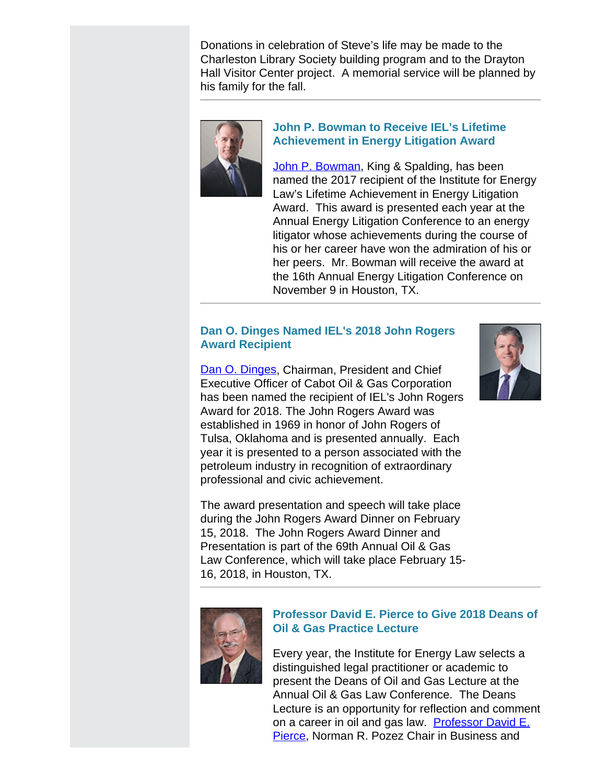Donations in celebration of Steve's life may be made to the Charleston Library Society building program and to the Drayton Hall Visitor Center project. A memorial service will be planned by his family for the fall.



# **John P. Bowman to Receive IEL's Lifetime Achievement in Energy Litigation Award**

[John P. Bowman](https://www.kslaw.com/people/John-Bowman), King & Spalding, has been named the 2017 recipient of the Institute for Energy Law's Lifetime Achievement in Energy Litigation Award. This award is presented each year at the Annual Energy Litigation Conference to an energy litigator whose achievements during the course of his or her career have won the admiration of his or her peers. Mr. Bowman will receive the award at the 16th Annual Energy Litigation Conference on November 9 in Houston, TX.

# **Dan O. Dinges Named IEL's 2018 John Rogers Award Recipient**

[Dan O. Dinges](http://www.cabotog.com/management/dan-o-dinges/), Chairman, President and Chief Executive Officer of Cabot Oil & Gas Corporation has been named the recipient of IEL's John Rogers Award for 2018. The John Rogers Award was established in 1969 in honor of John Rogers of Tulsa, Oklahoma and is presented annually. Each year it is presented to a person associated with the petroleum industry in recognition of extraordinary professional and civic achievement.

The award presentation and speech will take place during the John Rogers Award Dinner on February 15, 2018. The John Rogers Award Dinner and Presentation is part of the 69th Annual Oil & Gas Law Conference, which will take place February 15- 16, 2018, in Houston, TX.





# **Professor David E. Pierce to Give 2018 Deans of Oil & Gas Practice Lecture**

Every year, the Institute for Energy Law selects a distinguished legal practitioner or academic to present the Deans of Oil and Gas Lecture at the Annual Oil & Gas Law Conference. The Deans Lecture is an opportunity for reflection and comment on a career in oil and gas law. [Professor David E.](http://washburnlaw.edu/profiles/pierce-david.html) [Pierce](http://washburnlaw.edu/profiles/pierce-david.html), Norman R. Pozez Chair in Business and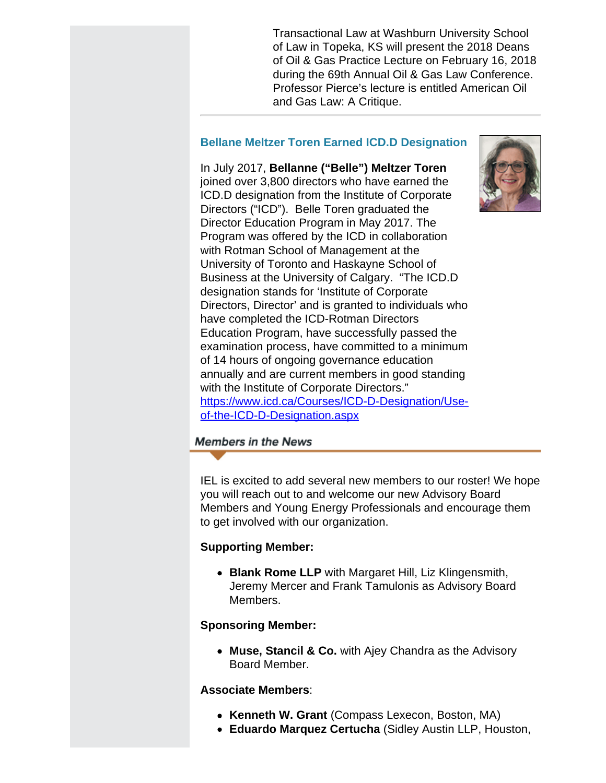Transactional Law at Washburn University School of Law in Topeka, KS will present the 2018 Deans of Oil & Gas Practice Lecture on February 16, 2018 during the 69th Annual Oil & Gas Law Conference. Professor Pierce's lecture is entitled American Oil and Gas Law: A Critique.

# **Bellane Meltzer Toren Earned ICD.D Designation**

In July 2017, **Bellanne ("Belle") Meltzer Toren** joined over 3,800 directors who have earned the ICD.D designation from the Institute of Corporate Directors ("ICD"). Belle Toren graduated the Director Education Program in May 2017. The Program was offered by the ICD in collaboration with Rotman School of Management at the University of Toronto and Haskayne School of Business at the University of Calgary. "The ICD.D designation stands for 'Institute of Corporate Directors, Director' and is granted to individuals who have completed the ICD-Rotman Directors Education Program, have successfully passed the examination process, have committed to a minimum of 14 hours of ongoing governance education annually and are current members in good standing with the Institute of Corporate Directors." [https://www.icd.ca/Courses/ICD-D-Designation/Use](https://www.icd.ca/Courses/ICD-D-Designation/Use-of-the-ICD-D-Designation.aspx)[of-the-ICD-D-Designation.aspx](https://www.icd.ca/Courses/ICD-D-Designation/Use-of-the-ICD-D-Designation.aspx)

# **Members in the News**

IEL is excited to add several new members to our roster! We hope you will reach out to and welcome our new Advisory Board Members and Young Energy Professionals and encourage them to get involved with our organization.

# **Supporting Member:**

**Blank Rome LLP** with Margaret Hill, Liz Klingensmith, Jeremy Mercer and Frank Tamulonis as Advisory Board Members.

# **Sponsoring Member:**

**Muse, Stancil & Co.** with Ajey Chandra as the Advisory Board Member.

# **Associate Members**:

- **Kenneth W. Grant** (Compass Lexecon, Boston, MA)
- **Eduardo Marquez Certucha** (Sidley Austin LLP, Houston,

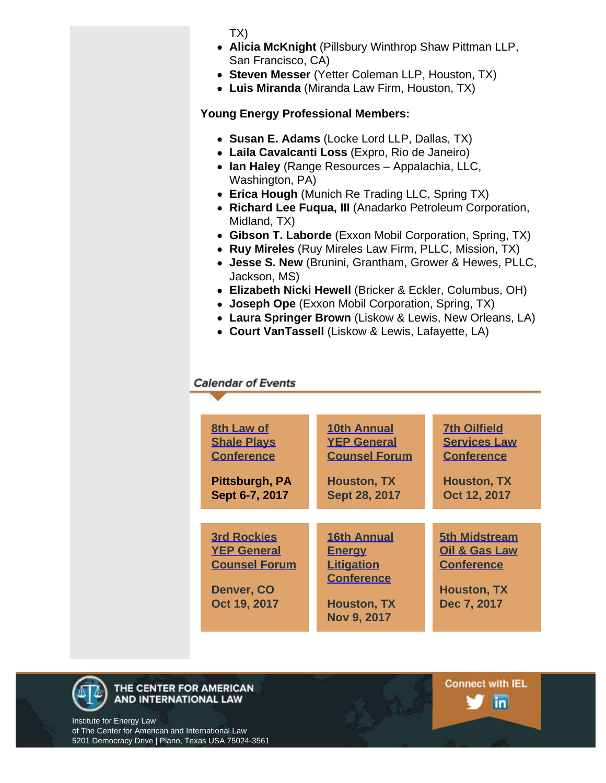TX)

- **Alicia McKnight** (Pillsbury Winthrop Shaw Pittman LLP, San Francisco, CA)
- **Steven Messer** (Yetter Coleman LLP, Houston, TX)
- **Luis Miranda** (Miranda Law Firm, Houston, TX)

**Young Energy Professional Members:**

- **Susan E. Adams** (Locke Lord LLP, Dallas, TX)
- **Laila Cavalcanti Loss** (Expro, Rio de Janeiro)
- **Ian Haley** (Range Resources Appalachia, LLC, Washington, PA)
- **Erica Hough** (Munich Re Trading LLC, Spring TX)
- **Richard Lee Fuqua, III** (Anadarko Petroleum Corporation, Midland, TX)
- **Gibson T. Laborde** (Exxon Mobil Corporation, Spring, TX)
- **Ruy Mireles** (Ruy Mireles Law Firm, PLLC, Mission, TX)
- **Jesse S. New** (Brunini, Grantham, Grower & Hewes, PLLC, Jackson, MS)
- **Elizabeth Nicki Hewell** (Bricker & Eckler, Columbus, OH)
- **Joseph Ope** (Exxon Mobil Corporation, Spring, TX)
- **Laura Springer Brown** (Liskow & Lewis, New Orleans, LA)
- **Court VanTassell** (Liskow & Lewis, Lafayette, LA)

# **Calendar of Events**

| 8th Law of<br><b>Shale Plays</b><br><b>Conference</b><br>Pittsburgh, PA<br>Sept 6-7, 2017      | <b>10th Annual</b><br><b>YEP General</b><br><b>Counsel Forum</b><br><b>Houston, TX</b><br>Sept 28, 2017                   | <b>7th Oilfield</b><br><b>Services Law</b><br><b>Conference</b><br><b>Houston, TX</b><br>Oct 12, 2017      |
|------------------------------------------------------------------------------------------------|---------------------------------------------------------------------------------------------------------------------------|------------------------------------------------------------------------------------------------------------|
|                                                                                                |                                                                                                                           |                                                                                                            |
| <b>3rd Rockies</b><br><b>YEP General</b><br><b>Counsel Forum</b><br>Denver, CO<br>Oct 19, 2017 | <b>16th Annual</b><br><b>Energy</b><br><b>Litigation</b><br><b>Conference</b><br><b>Houston, TX</b><br><b>Nov 9, 2017</b> | <b>5th Midstream</b><br><b>Oil &amp; Gas Law</b><br><b>Conference</b><br><b>Houston, TX</b><br>Dec 7, 2017 |

**Connect with IEL** 

in.



Institute for Energy Law of The Center for American and International Law 5201 Democracy Drive | Plano, Texas USA 75024-3561